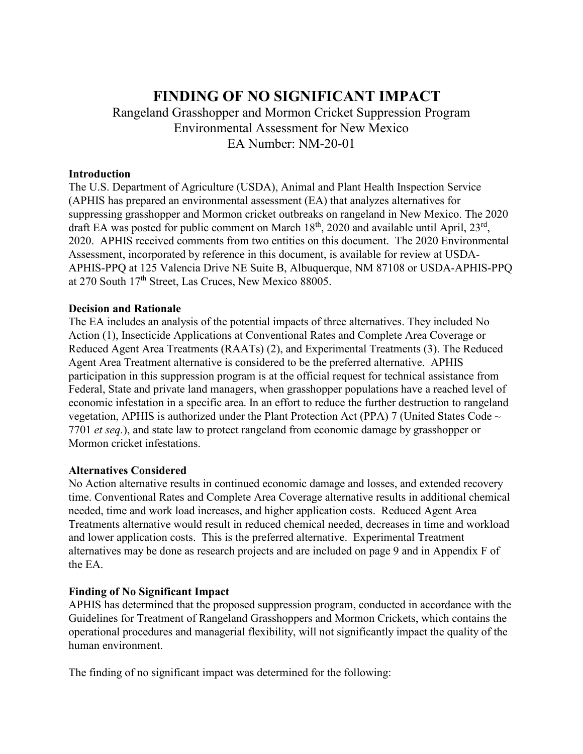# **FINDING OF NO SIGNIFICANT IMPACT**

Rangeland Grasshopper and Mormon Cricket Suppression Program Environmental Assessment for New Mexico EA Number: NM-20-01

#### **Introduction**

The U.S. Department of Agriculture (USDA), Animal and Plant Health Inspection Service (APHIS has prepared an environmental assessment (EA) that analyzes alternatives for suppressing grasshopper and Mormon cricket outbreaks on rangeland in New Mexico. The 2020 draft EA was posted for public comment on March  $18<sup>th</sup>$ , 2020 and available until April,  $23<sup>rd</sup>$ , 2020. APHIS received comments from two entities on this document. The 2020 Environmental Assessment, incorporated by reference in this document, is available for review at USDA-APHIS-PPQ at 125 Valencia Drive NE Suite B, Albuquerque, NM 87108 or USDA-APHIS-PPQ at 270 South 17<sup>th</sup> Street, Las Cruces, New Mexico 88005.

### **Decision and Rationale**

The EA includes an analysis of the potential impacts of three alternatives. They included No Action (1), Insecticide Applications at Conventional Rates and Complete Area Coverage or Reduced Agent Area Treatments (RAATs) (2), and Experimental Treatments (3). The Reduced Agent Area Treatment alternative is considered to be the preferred alternative. APHIS participation in this suppression program is at the official request for technical assistance from Federal, State and private land managers, when grasshopper populations have a reached level of economic infestation in a specific area. In an effort to reduce the further destruction to rangeland vegetation, APHIS is authorized under the Plant Protection Act (PPA) 7 (United States Code  $\sim$ 7701 *et seq.*), and state law to protect rangeland from economic damage by grasshopper or Mormon cricket infestations.

#### **Alternatives Considered**

No Action alternative results in continued economic damage and losses, and extended recovery time. Conventional Rates and Complete Area Coverage alternative results in additional chemical needed, time and work load increases, and higher application costs. Reduced Agent Area Treatments alternative would result in reduced chemical needed, decreases in time and workload and lower application costs. This is the preferred alternative. Experimental Treatment alternatives may be done as research projects and are included on page 9 and in Appendix F of the EA.

## **Finding of No Significant Impact**

APHIS has determined that the proposed suppression program, conducted in accordance with the Guidelines for Treatment of Rangeland Grasshoppers and Mormon Crickets, which contains the operational procedures and managerial flexibility, will not significantly impact the quality of the human environment.

The finding of no significant impact was determined for the following: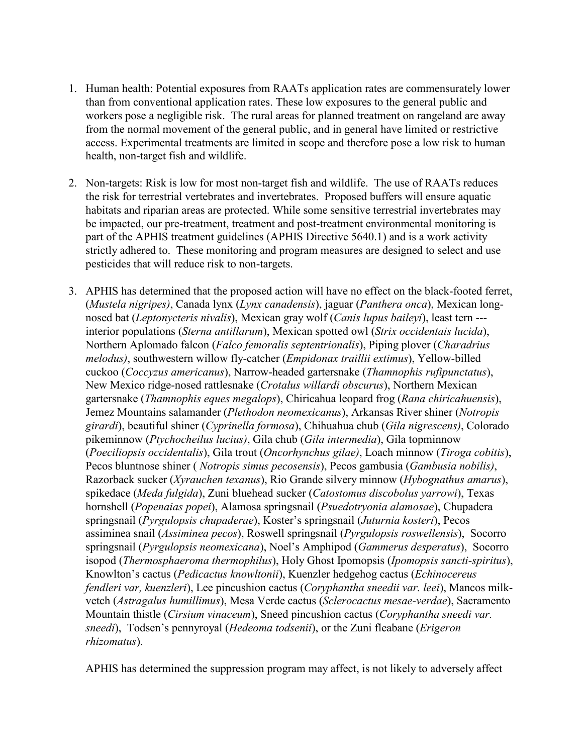- 1. Human health: Potential exposures from RAATs application rates are commensurately lower than from conventional application rates. These low exposures to the general public and workers pose a negligible risk. The rural areas for planned treatment on rangeland are away from the normal movement of the general public, and in general have limited or restrictive access. Experimental treatments are limited in scope and therefore pose a low risk to human health, non-target fish and wildlife.
- 2. Non-targets: Risk is low for most non-target fish and wildlife. The use of RAATs reduces the risk for terrestrial vertebrates and invertebrates. Proposed buffers will ensure aquatic habitats and riparian areas are protected. While some sensitive terrestrial invertebrates may be impacted, our pre-treatment, treatment and post-treatment environmental monitoring is part of the APHIS treatment guidelines (APHIS Directive 5640.1) and is a work activity strictly adhered to. These monitoring and program measures are designed to select and use pesticides that will reduce risk to non-targets.
- 3. APHIS has determined that the proposed action will have no effect on the black-footed ferret, (*Mustela nigripes)*, Canada lynx (*Lynx canadensis*), jaguar (*Panthera onca*), Mexican longnosed bat (*Leptonycteris nivalis*), Mexican gray wolf (*Canis lupus baileyi*), least tern -- interior populations (*Sterna antillarum*), Mexican spotted owl (*Strix occidentais lucida*), Northern Aplomado falcon (*Falco femoralis septentrionalis*), Piping plover (*Charadrius melodus)*, southwestern willow fly-catcher (*Empidonax traillii extimus*), Yellow-billed cuckoo (*Coccyzus americanus*), Narrow-headed gartersnake (*Thamnophis rufipunctatus*), New Mexico ridge-nosed rattlesnake (*Crotalus willardi obscurus*), Northern Mexican gartersnake (*Thamnophis eques megalops*), Chiricahua leopard frog (*Rana chiricahuensis*), Jemez Mountains salamander (*Plethodon neomexicanus*), Arkansas River shiner (*Notropis girardi*), beautiful shiner (*Cyprinella formosa*), Chihuahua chub (*Gila nigrescens)*, Colorado pikeminnow (*Ptychocheilus lucius)*, Gila chub (*Gila intermedia*), Gila topminnow (*Poeciliopsis occidentalis*), Gila trout (*Oncorhynchus gilae)*, Loach minnow (*Tiroga cobitis*), Pecos bluntnose shiner ( *Notropis simus pecosensis*), Pecos gambusia (*Gambusia nobilis)*, Razorback sucker (*Xyrauchen texanus*), Rio Grande silvery minnow (*Hybognathus amarus*), spikedace (*Meda fulgida*), Zuni bluehead sucker (*Catostomus discobolus yarrowi*), Texas hornshell (*Popenaias popei*), Alamosa springsnail (*Psuedotryonia alamosae*), Chupadera springsnail (*Pyrgulopsis chupaderae*), Koster's springsnail (*Juturnia kosteri*), Pecos assiminea snail (*Assiminea pecos*), Roswell springsnail (*Pyrgulopsis roswellensis*), Socorro springsnail (*Pyrgulopsis neomexicana*), Noel's Amphipod (*Gammerus desperatus*), Socorro isopod (*Thermosphaeroma thermophilus*), Holy Ghost Ipomopsis (*Ipomopsis sancti-spiritus*), Knowlton's cactus (*Pedicactus knowltonii*), Kuenzler hedgehog cactus (*Echinocereus fendleri var, kuenzleri*), Lee pincushion cactus (*Coryphantha sneedii var. leei*), Mancos milkvetch (*Astragalus humillimus*), Mesa Verde cactus (*Sclerocactus mesae-verdae*), Sacramento Mountain thistle (*Cirsium vinaceum*), Sneed pincushion cactus (*Coryphantha sneedi var. sneedi*), Todsen's pennyroyal (*Hedeoma todsenii*), or the Zuni fleabane (*Erigeron rhizomatus*).

APHIS has determined the suppression program may affect, is not likely to adversely affect